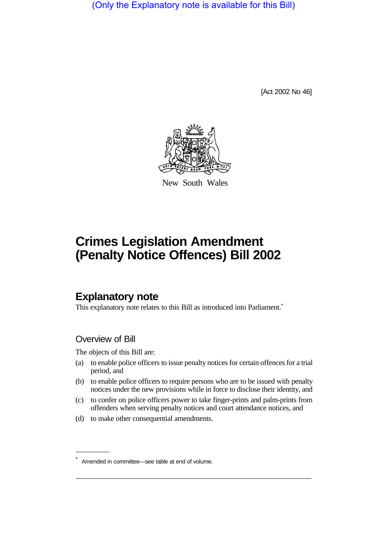(Only the Explanatory note is available for this Bill)

[Act 2002 No 46]



New South Wales

# **Crimes Legislation Amendment (Penalty Notice Offences) Bill 2002**

# **Explanatory note**

This explanatory note relates to this Bill as introduced into Parliament.<sup>\*</sup>

## Overview of Bill

The objects of this Bill are:

- (a) to enable police officers to issue penalty notices for certain offences for a trial period, and
- (b) to enable police officers to require persons who are to be issued with penalty notices under the new provisions while in force to disclose their identity, and
- (c) to confer on police officers power to take finger-prints and palm-prints from offenders when serving penalty notices and court attendance notices, and
- (d) to make other consequential amendments.

Amended in committee—see table at end of volume.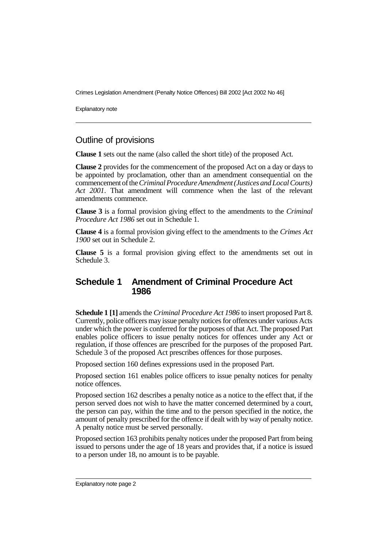Explanatory note

#### Outline of provisions

**Clause 1** sets out the name (also called the short title) of the proposed Act.

**Clause 2** provides for the commencement of the proposed Act on a day or days to be appointed by proclamation, other than an amendment consequential on the commencementof the*Criminal Procedure Amendment (Justices and Local Courts) Act 2001*. That amendment will commence when the last of the relevant amendments commence.

**Clause 3** is a formal provision giving effect to the amendments to the *Criminal Procedure Act 1986* set out in Schedule 1.

**Clause 4** is a formal provision giving effect to the amendments to the *Crimes Act 1900* set out in Schedule 2.

**Clause 5** is a formal provision giving effect to the amendments set out in Schedule 3.

#### **Schedule 1 Amendment of Criminal Procedure Act 1986**

**Schedule 1 [1]** amends the *Criminal Procedure Act 1986* to insert proposed Part 8. Currently, police officers may issue penalty notices for offences under various Acts under which the power is conferred for the purposes of that Act. The proposed Part enables police officers to issue penalty notices for offences under any Act or regulation, if those offences are prescribed for the purposes of the proposed Part. Schedule 3 of the proposed Act prescribes offences for those purposes.

Proposed section 160 defines expressions used in the proposed Part.

Proposed section 161 enables police officers to issue penalty notices for penalty notice offences.

Proposed section 162 describes a penalty notice as a notice to the effect that, if the person served does not wish to have the matter concerned determined by a court, the person can pay, within the time and to the person specified in the notice, the amount of penalty prescribed for the offence if dealt with by way of penalty notice. A penalty notice must be served personally.

Proposed section 163 prohibits penalty notices under the proposed Part from being issued to persons under the age of 18 years and provides that, if a notice is issued to a person under 18, no amount is to be payable.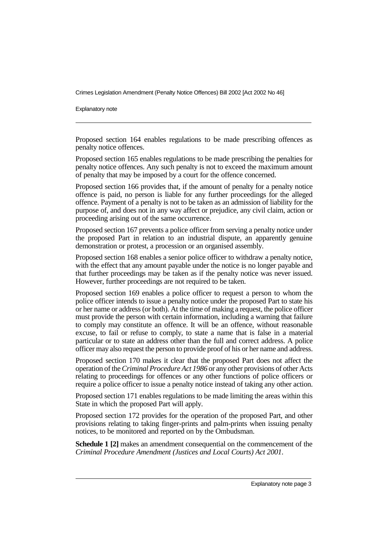Explanatory note

Proposed section 164 enables regulations to be made prescribing offences as penalty notice offences.

Proposed section 165 enables regulations to be made prescribing the penalties for penalty notice offences. Any such penalty is not to exceed the maximum amount of penalty that may be imposed by a court for the offence concerned.

Proposed section 166 provides that, if the amount of penalty for a penalty notice offence is paid, no person is liable for any further proceedings for the alleged offence. Payment of a penalty is not to be taken as an admission of liability for the purpose of, and does not in any way affect or prejudice, any civil claim, action or proceeding arising out of the same occurrence.

Proposed section 167 prevents a police officer from serving a penalty notice under the proposed Part in relation to an industrial dispute, an apparently genuine demonstration or protest, a procession or an organised assembly.

Proposed section 168 enables a senior police officer to withdraw a penalty notice, with the effect that any amount payable under the notice is no longer payable and that further proceedings may be taken as if the penalty notice was never issued. However, further proceedings are not required to be taken.

Proposed section 169 enables a police officer to request a person to whom the police officer intends to issue a penalty notice under the proposed Part to state his or her name or address (or both). At the time of making a request, the police officer must provide the person with certain information, including a warning that failure to comply may constitute an offence. It will be an offence, without reasonable excuse, to fail or refuse to comply, to state a name that is false in a material particular or to state an address other than the full and correct address. A police officer may also request the person to provide proof of his or her name and address.

Proposed section 170 makes it clear that the proposed Part does not affect the operation of the*Criminal Procedure Act 1986* or any other provisions of other Acts relating to proceedings for offences or any other functions of police officers or require a police officer to issue a penalty notice instead of taking any other action.

Proposed section 171 enables regulations to be made limiting the areas within this State in which the proposed Part will apply.

Proposed section 172 provides for the operation of the proposed Part, and other provisions relating to taking finger-prints and palm-prints when issuing penalty notices, to be monitored and reported on by the Ombudsman.

**Schedule 1 [2]** makes an amendment consequential on the commencement of the *Criminal Procedure Amendment (Justices and Local Courts) Act 2001*.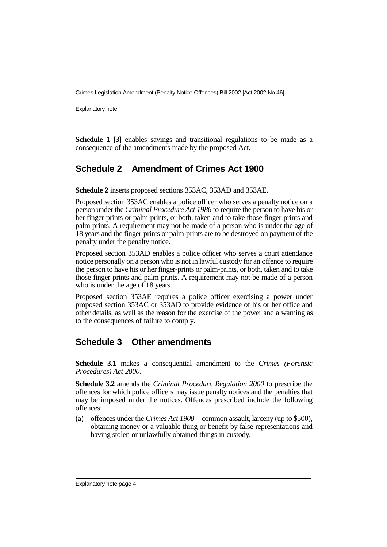Explanatory note

**Schedule 1 [3]** enables savings and transitional regulations to be made as a consequence of the amendments made by the proposed Act.

# **Schedule 2 Amendment of Crimes Act 1900**

**Schedule 2** inserts proposed sections 353AC, 353AD and 353AE.

Proposed section 353AC enables a police officer who serves a penalty notice on a person under the *Criminal Procedure Act 1986* to require the person to have his or her finger-prints or palm-prints, or both, taken and to take those finger-prints and palm-prints. A requirement may not be made of a person who is under the age of 18 years and the finger-prints or palm-prints are to be destroyed on payment of the penalty under the penalty notice.

Proposed section 353AD enables a police officer who serves a court attendance notice personally on a person who is not in lawful custody for an offence to require the person to have his or her finger-prints or palm-prints, or both, taken and to take those finger-prints and palm-prints. A requirement may not be made of a person who is under the age of 18 years.

Proposed section 353AE requires a police officer exercising a power under proposed section 353AC or 353AD to provide evidence of his or her office and other details, as well as the reason for the exercise of the power and a warning as to the consequences of failure to comply.

## **Schedule 3 Other amendments**

**Schedule 3.1** makes a consequential amendment to the *Crimes (Forensic Procedures) Act 2000*.

**Schedule 3.2** amends the *Criminal Procedure Regulation 2000* to prescribe the offences for which police officers may issue penalty notices and the penalties that may be imposed under the notices. Offences prescribed include the following offences:

(a) offences under the *Crimes Act 1900*—common assault, larceny (up to \$500), obtaining money or a valuable thing or benefit by false representations and having stolen or unlawfully obtained things in custody,